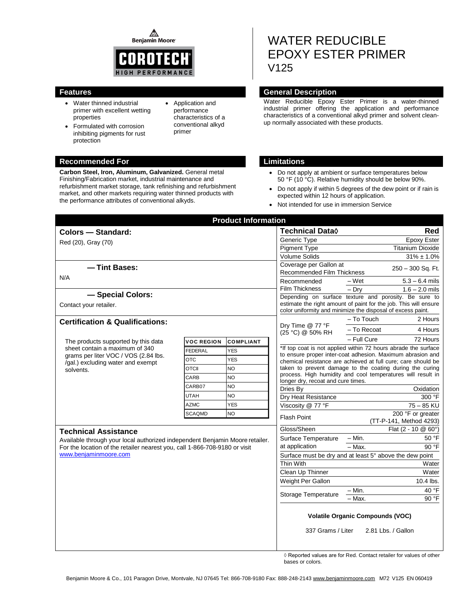⚠ **Benjamin Moore** 



**Carbon Steel, Iron, Aluminum, Galvanized.** General metal Finishing/Fabrication market, industrial maintenance and refurbishment market storage, tank refinishing and refurbishment market, and other markets requiring water thinned products with

the performance attributes of conventional alkyds.

- Water thinned industrial primer with excellent wetting properties
- Formulated with corrosion inhibiting pigments for rust protection
- Application and performance characteristics of a conventional alkyd primer

# WATER REDUCIBLE EPOXY ESTER PRIMER V125

### **Features General Description**

Water Reducible Epoxy Ester Primer is a water-thinned industrial primer offering the application and performance characteristics of a conventional alkyd primer and solvent cleanup normally associated with these products.

### **Recommended For Limitations**

- Do not apply at ambient or surface temperatures below 50 °F (10 °C). Relative humidity should be below 90%.
- Do not apply if within 5 degrees of the dew point or if rain is expected within 12 hours of application.
- Not intended for use in immersion Service

| <b>Product Information</b>                                                                                  |                   |                  |                                                                                                                                                                                          |                                                                                                                                                               |                                              |  |
|-------------------------------------------------------------------------------------------------------------|-------------------|------------------|------------------------------------------------------------------------------------------------------------------------------------------------------------------------------------------|---------------------------------------------------------------------------------------------------------------------------------------------------------------|----------------------------------------------|--|
| <b>Colors - Standard:</b>                                                                                   |                   |                  | Technical Data <sup>(</sup>                                                                                                                                                              |                                                                                                                                                               | Red                                          |  |
| Red (20), Gray (70)                                                                                         |                   |                  | Generic Type                                                                                                                                                                             |                                                                                                                                                               | Epoxy Ester                                  |  |
|                                                                                                             |                   |                  | <b>Pigment Type</b>                                                                                                                                                                      |                                                                                                                                                               | <b>Titanium Dioxide</b>                      |  |
|                                                                                                             |                   |                  | <b>Volume Solids</b>                                                                                                                                                                     |                                                                                                                                                               | $31\% \pm 1.0\%$                             |  |
| -Tint Bases:                                                                                                |                   |                  | Coverage per Gallon at<br>250 - 300 Sq. Ft.<br><b>Recommended Film Thickness</b>                                                                                                         |                                                                                                                                                               |                                              |  |
| N/A                                                                                                         |                   |                  | Recommended<br><b>Film Thickness</b>                                                                                                                                                     | – Wet                                                                                                                                                         | $5.3 - 6.4$ mils                             |  |
|                                                                                                             |                   |                  |                                                                                                                                                                                          | $-$ Dry                                                                                                                                                       | $1.6 - 2.0$ mils                             |  |
| - Special Colors:<br>Contact your retailer.                                                                 |                   |                  | Depending on surface texture and porosity. Be sure to<br>estimate the right amount of paint for the job. This will ensure<br>color uniformity and minimize the disposal of excess paint. |                                                                                                                                                               |                                              |  |
| <b>Certification &amp; Qualifications:</b>                                                                  |                   |                  |                                                                                                                                                                                          | - To Touch                                                                                                                                                    | 2 Hours                                      |  |
|                                                                                                             |                   |                  | Dry Time @ 77 °F<br>(25 °C) @ 50% RH                                                                                                                                                     | - To Recoat                                                                                                                                                   | 4 Hours                                      |  |
| The products supported by this data                                                                         | <b>VOC REGION</b> | <b>COMPLIANT</b> |                                                                                                                                                                                          | - Full Cure                                                                                                                                                   | 72 Hours                                     |  |
| sheet contain a maximum of 340<br>grams per liter VOC / VOS (2.84 lbs.                                      | <b>FEDERAL</b>    | <b>YES</b>       |                                                                                                                                                                                          | *If top coat is not applied within 72 hours abrade the surface                                                                                                |                                              |  |
|                                                                                                             | <b>OTC</b>        |                  | to ensure proper inter-coat adhesion. Maximum abrasion and                                                                                                                               |                                                                                                                                                               |                                              |  |
| /gal.) excluding water and exempt                                                                           |                   | <b>YES</b>       | chemical resistance are achieved at full cure; care should be                                                                                                                            |                                                                                                                                                               |                                              |  |
| solvents.                                                                                                   | <b>OTCII</b>      | NO.              |                                                                                                                                                                                          | taken to prevent damage to the coating during the curing<br>process. High humidity and cool temperatures will result in<br>longer dry, recoat and cure times. |                                              |  |
|                                                                                                             | CARB              | <b>NO</b>        |                                                                                                                                                                                          |                                                                                                                                                               |                                              |  |
|                                                                                                             | CARB07            | <b>NO</b>        | Dries Bv                                                                                                                                                                                 |                                                                                                                                                               | Oxidation                                    |  |
|                                                                                                             | UTAH              | <b>NO</b>        | Dry Heat Resistance                                                                                                                                                                      |                                                                                                                                                               | 300 °F                                       |  |
|                                                                                                             | <b>AZMC</b>       | <b>YES</b>       | Viscosity @ 77 °F                                                                                                                                                                        |                                                                                                                                                               | $75 - 85$ KU                                 |  |
|                                                                                                             | <b>SCAQMD</b>     | <b>NO</b>        | <b>Flash Point</b>                                                                                                                                                                       |                                                                                                                                                               | 200 °F or greater<br>(TT-P-141, Method 4293) |  |
| <b>Technical Assistance</b><br>Available through your local authorized independent Benjamin Moore retailer. |                   |                  | Gloss/Sheen                                                                                                                                                                              |                                                                                                                                                               | Flat $(2 - 10 \& 60^{\circ})$                |  |
|                                                                                                             |                   |                  | Surface Temperature                                                                                                                                                                      | - Min.                                                                                                                                                        | 50 °F                                        |  |
| For the location of the retailer nearest you, call 1-866-708-9180 or visit                                  |                   |                  | at application                                                                                                                                                                           | $-Max$ .                                                                                                                                                      | 90 °F                                        |  |
| www.benjaminmoore.com                                                                                       |                   |                  | Surface must be dry and at least 5° above the dew point                                                                                                                                  |                                                                                                                                                               |                                              |  |
|                                                                                                             |                   |                  | Thin With                                                                                                                                                                                |                                                                                                                                                               | Water                                        |  |
|                                                                                                             |                   |                  | Clean Up Thinner                                                                                                                                                                         |                                                                                                                                                               | Water                                        |  |
|                                                                                                             |                   |                  | Weight Per Gallon                                                                                                                                                                        |                                                                                                                                                               | 10.4 lbs.                                    |  |
|                                                                                                             |                   |                  |                                                                                                                                                                                          | $-$ Min.                                                                                                                                                      | 40 °F                                        |  |
|                                                                                                             |                   |                  | Storage Temperature                                                                                                                                                                      | - Max.                                                                                                                                                        | 90 °F                                        |  |
|                                                                                                             |                   |                  | <b>Volatile Organic Compounds (VOC)</b><br>337 Grams / Liter<br>2.81 Lbs. / Gallon                                                                                                       |                                                                                                                                                               |                                              |  |
|                                                                                                             |                   |                  |                                                                                                                                                                                          |                                                                                                                                                               |                                              |  |

 ◊ Reported values are for Red. Contact retailer for values of other bases or colors.